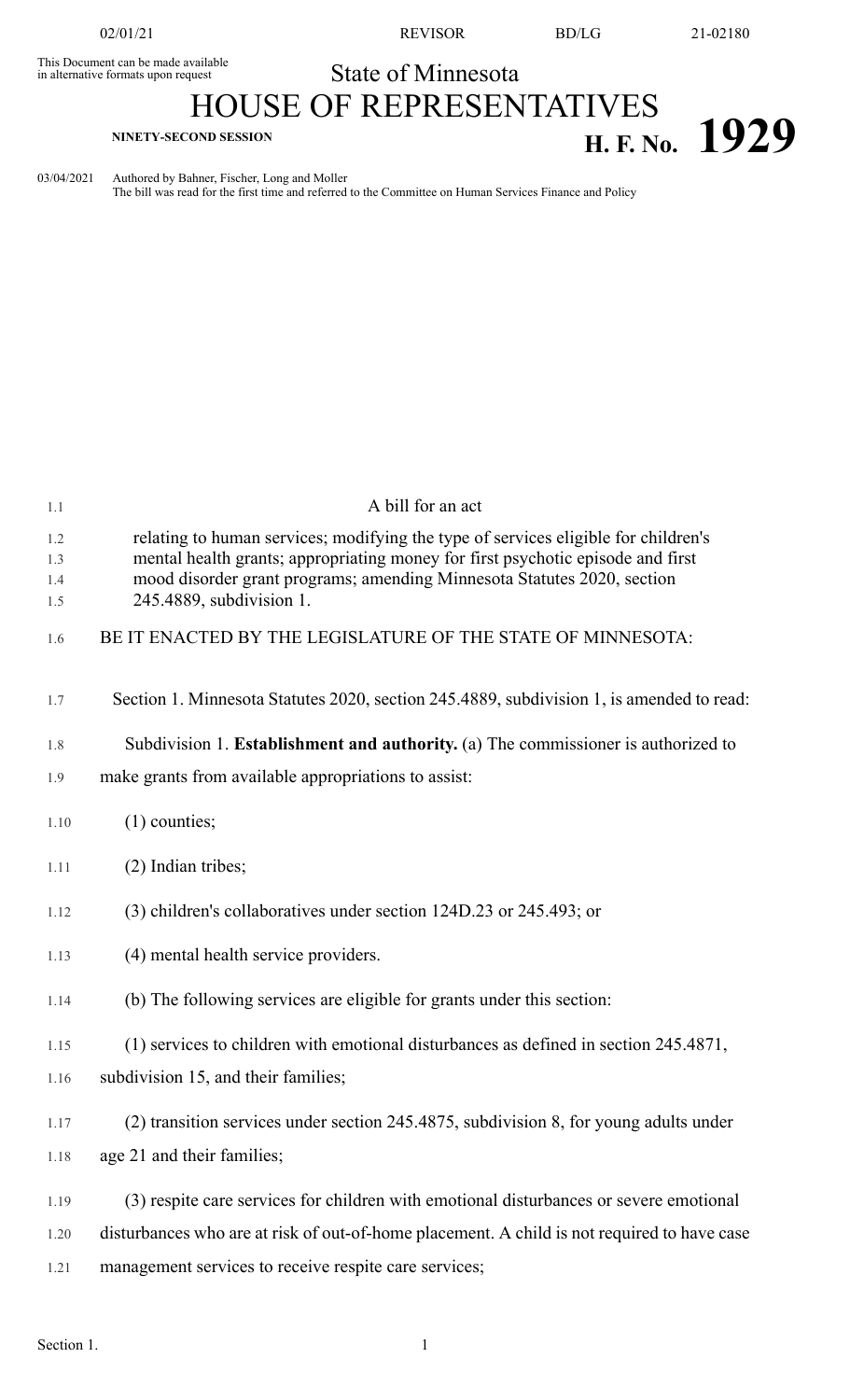This Document can be made available<br>in alternative formats upon request

02/01/21 REVISOR BD/LG 21-02180

## State of Minnesota

## HOUSE OF REPRESENTATIVES **H. F. No. 1929**

03/04/2021 Authored by Bahner, Fischer, Long and Moller

The bill was read for the first time and referred to the Committee on Human Services Finance and Policy

| 1.1                      | A bill for an act                                                                                                                                                                                                                                                            |
|--------------------------|------------------------------------------------------------------------------------------------------------------------------------------------------------------------------------------------------------------------------------------------------------------------------|
| 1.2<br>1.3<br>1.4<br>1.5 | relating to human services; modifying the type of services eligible for children's<br>mental health grants; appropriating money for first psychotic episode and first<br>mood disorder grant programs; amending Minnesota Statutes 2020, section<br>245.4889, subdivision 1. |
| 1.6                      | BE IT ENACTED BY THE LEGISLATURE OF THE STATE OF MINNESOTA:                                                                                                                                                                                                                  |
| 1.7                      | Section 1. Minnesota Statutes 2020, section 245.4889, subdivision 1, is amended to read:                                                                                                                                                                                     |
| 1.8                      | Subdivision 1. Establishment and authority. (a) The commissioner is authorized to                                                                                                                                                                                            |
| 1.9                      | make grants from available appropriations to assist:                                                                                                                                                                                                                         |
| 1.10                     | $(1)$ counties;                                                                                                                                                                                                                                                              |
| 1.11                     | (2) Indian tribes;                                                                                                                                                                                                                                                           |
| 1.12                     | (3) children's collaboratives under section 124D.23 or 245.493; or                                                                                                                                                                                                           |
| 1.13                     | (4) mental health service providers.                                                                                                                                                                                                                                         |
| 1.14                     | (b) The following services are eligible for grants under this section:                                                                                                                                                                                                       |
| 1.15                     | (1) services to children with emotional disturbances as defined in section 245.4871,                                                                                                                                                                                         |
| 1.16                     | subdivision 15, and their families;                                                                                                                                                                                                                                          |
| 1.17                     | (2) transition services under section 245.4875, subdivision 8, for young adults under                                                                                                                                                                                        |
| 1.18                     | age 21 and their families;                                                                                                                                                                                                                                                   |
| 1.19                     | (3) respite care services for children with emotional disturbances or severe emotional                                                                                                                                                                                       |
| 1.20                     | disturbances who are at risk of out-of-home placement. A child is not required to have case                                                                                                                                                                                  |
| 1.21                     | management services to receive respite care services;                                                                                                                                                                                                                        |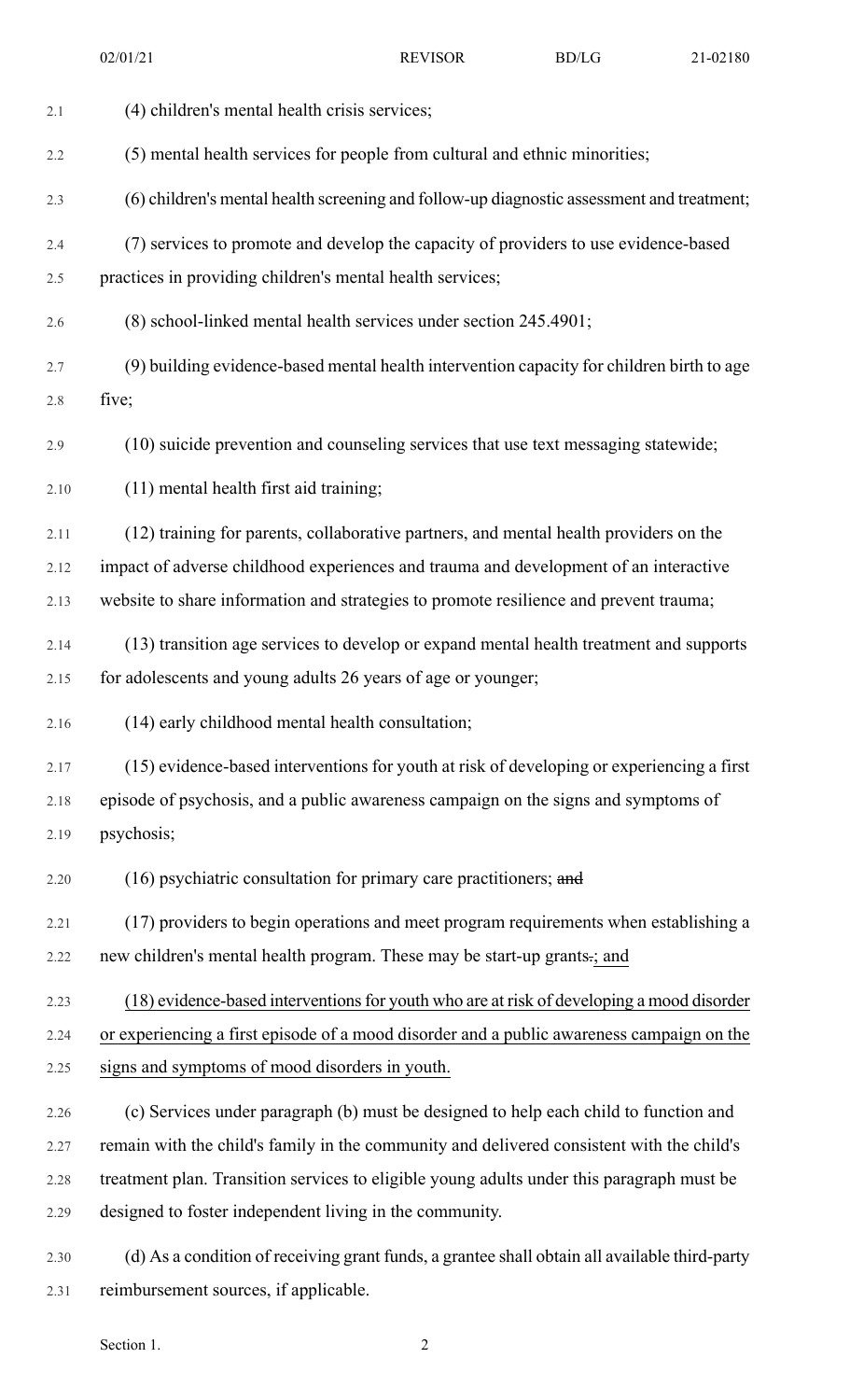| 2.1  | (4) children's mental health crisis services;                                                 |
|------|-----------------------------------------------------------------------------------------------|
| 2.2  | (5) mental health services for people from cultural and ethnic minorities;                    |
| 2.3  | (6) children's mental health screening and follow-up diagnostic assessment and treatment;     |
| 2.4  | (7) services to promote and develop the capacity of providers to use evidence-based           |
| 2.5  | practices in providing children's mental health services;                                     |
| 2.6  | (8) school-linked mental health services under section 245.4901;                              |
| 2.7  | (9) building evidence-based mental health intervention capacity for children birth to age     |
| 2.8  | five;                                                                                         |
| 2.9  | (10) suicide prevention and counseling services that use text messaging statewide;            |
| 2.10 | (11) mental health first aid training;                                                        |
| 2.11 | (12) training for parents, collaborative partners, and mental health providers on the         |
| 2.12 | impact of adverse childhood experiences and trauma and development of an interactive          |
| 2.13 | website to share information and strategies to promote resilience and prevent trauma;         |
| 2.14 | (13) transition age services to develop or expand mental health treatment and supports        |
| 2.15 | for adolescents and young adults 26 years of age or younger;                                  |
|      |                                                                                               |
| 2.16 | (14) early childhood mental health consultation;                                              |
| 2.17 | (15) evidence-based interventions for youth at risk of developing or experiencing a first     |
| 2.18 | episode of psychosis, and a public awareness campaign on the signs and symptoms of            |
| 2.19 | psychosis;                                                                                    |
| 2.20 | $(16)$ psychiatric consultation for primary care practitioners; and                           |
| 2.21 | (17) providers to begin operations and meet program requirements when establishing a          |
| 2.22 | new children's mental health program. These may be start-up grants-; and                      |
| 2.23 | (18) evidence-based interventions for youth who are at risk of developing a mood disorder     |
| 2.24 | or experiencing a first episode of a mood disorder and a public awareness campaign on the     |
| 2.25 | signs and symptoms of mood disorders in youth.                                                |
| 2.26 | (c) Services under paragraph (b) must be designed to help each child to function and          |
| 2.27 | remain with the child's family in the community and delivered consistent with the child's     |
| 2.28 | treatment plan. Transition services to eligible young adults under this paragraph must be     |
| 2.29 | designed to foster independent living in the community.                                       |
| 2.30 | (d) As a condition of receiving grant funds, a grantee shall obtain all available third-party |

Section 1. 2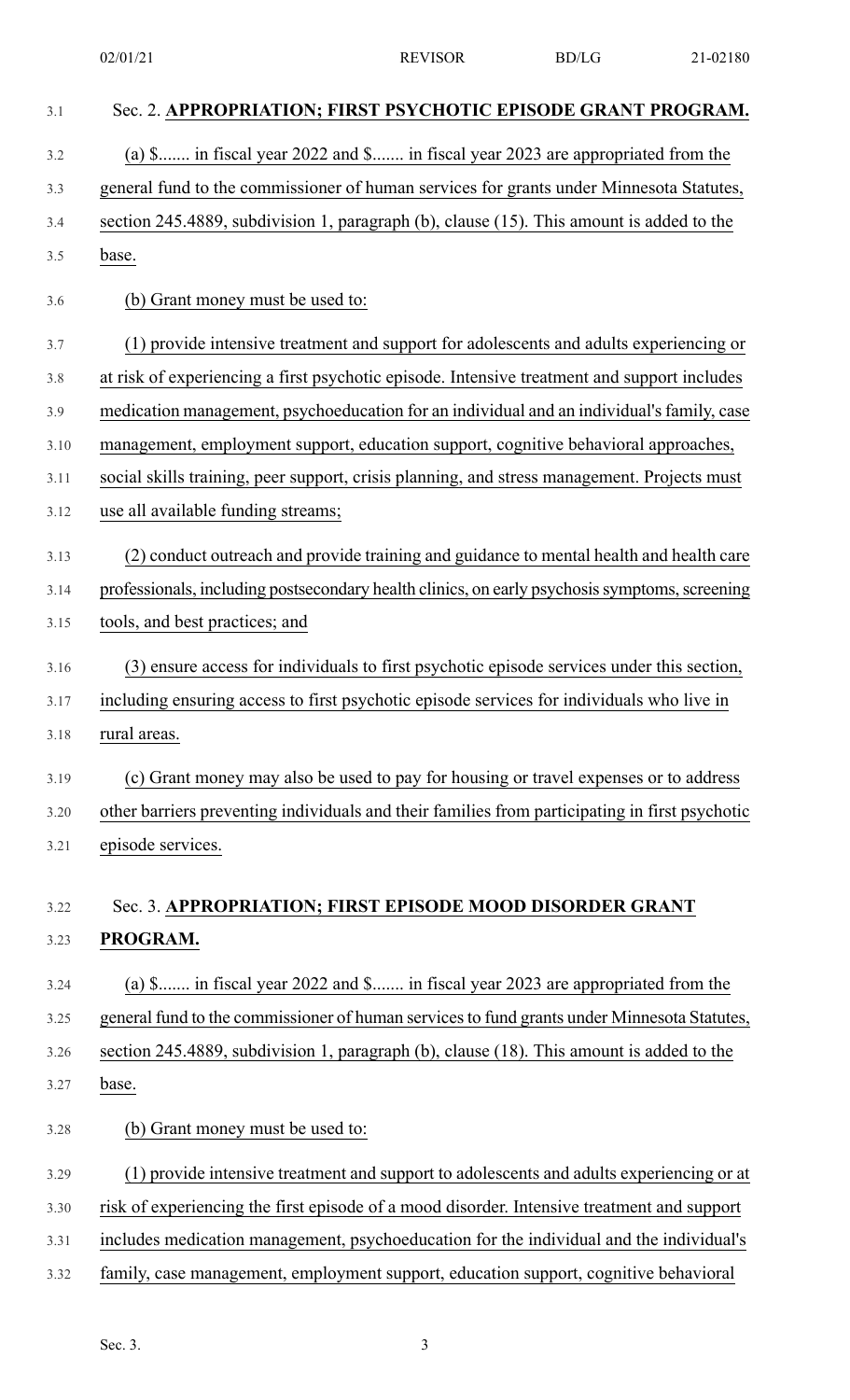| 3.1  | Sec. 2. APPROPRIATION; FIRST PSYCHOTIC EPISODE GRANT PROGRAM.                                  |
|------|------------------------------------------------------------------------------------------------|
| 3.2  | (a) \$ in fiscal year 2022 and \$ in fiscal year 2023 are appropriated from the                |
| 3.3  | general fund to the commissioner of human services for grants under Minnesota Statutes,        |
| 3.4  | section 245.4889, subdivision 1, paragraph (b), clause (15). This amount is added to the       |
| 3.5  | base.                                                                                          |
| 3.6  | (b) Grant money must be used to:                                                               |
| 3.7  | (1) provide intensive treatment and support for adolescents and adults experiencing or         |
| 3.8  | at risk of experiencing a first psychotic episode. Intensive treatment and support includes    |
| 3.9  | medication management, psychoeducation for an individual and an individual's family, case      |
| 3.10 | management, employment support, education support, cognitive behavioral approaches,            |
| 3.11 | social skills training, peer support, crisis planning, and stress management. Projects must    |
| 3.12 | use all available funding streams;                                                             |
| 3.13 | (2) conduct outreach and provide training and guidance to mental health and health care        |
| 3.14 | professionals, including postsecondary health clinics, on early psychosis symptoms, screening  |
| 3.15 | tools, and best practices; and                                                                 |
| 3.16 | (3) ensure access for individuals to first psychotic episode services under this section,      |
| 3.17 | including ensuring access to first psychotic episode services for individuals who live in      |
| 3.18 | rural areas.                                                                                   |
| 3.19 | (c) Grant money may also be used to pay for housing or travel expenses or to address           |
| 3.20 | other barriers preventing individuals and their families from participating in first psychotic |
| 3.21 | episode services.                                                                              |
| 3.22 | Sec. 3. APPROPRIATION; FIRST EPISODE MOOD DISORDER GRANT                                       |
| 3.23 | PROGRAM.                                                                                       |
| 3.24 | (a) \$ in fiscal year 2022 and \$ in fiscal year 2023 are appropriated from the                |
| 3.25 | general fund to the commissioner of human services to fund grants under Minnesota Statutes,    |
| 3.26 | section 245.4889, subdivision 1, paragraph (b), clause (18). This amount is added to the       |
| 3.27 | base.                                                                                          |
| 3.28 | (b) Grant money must be used to:                                                               |
| 3.29 | (1) provide intensive treatment and support to adolescents and adults experiencing or at       |
| 3.30 | risk of experiencing the first episode of a mood disorder. Intensive treatment and support     |
| 3.31 | includes medication management, psychoeducation for the individual and the individual's        |
| 3.32 | family, case management, employment support, education support, cognitive behavioral           |